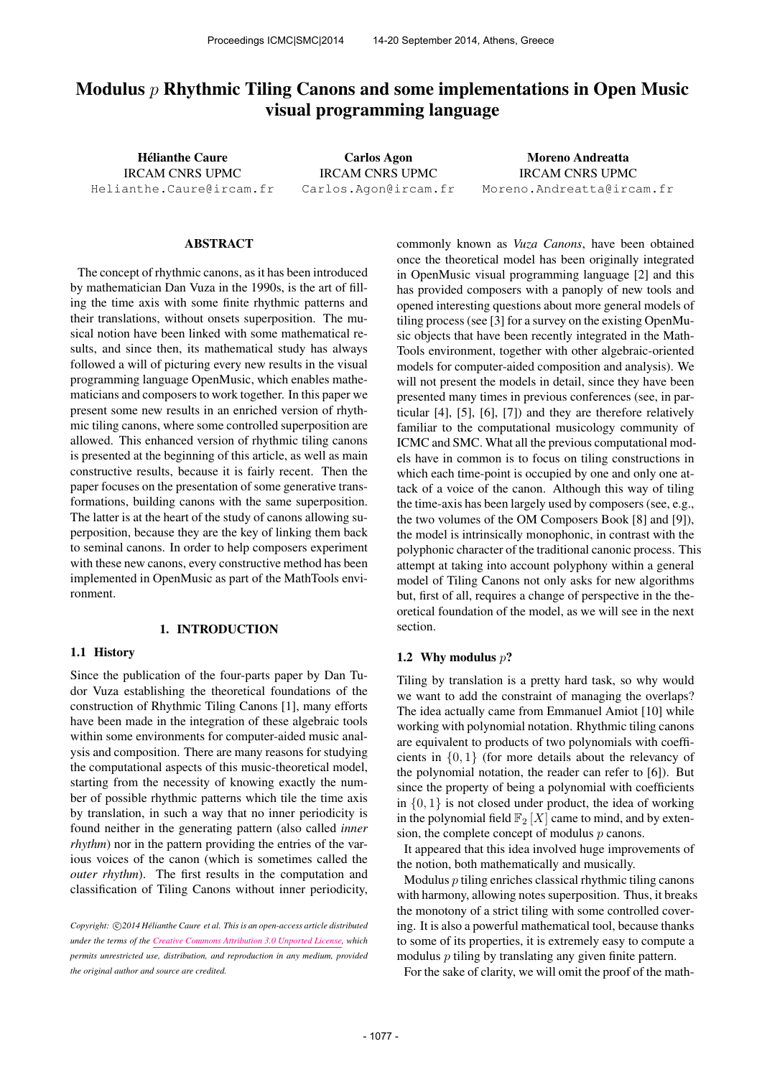# Modulus  $p$  Rhythmic Tiling Canons and some implementations in Open Music visual programming language

Hélianthe Caure IRCAM CNRS UPMC [Helianthe.Caure@ircam.fr](mailto:Helianthe.Caure@ircam.fr)

Carlos Agon IRCAM CNRS UPMC [Carlos.Agon@ircam.fr](mailto:Carlos.Agon@ircam.fr)

Moreno Andreatta IRCAM CNRS UPMC [Moreno.Andreatta@ircam.fr](mailto:Moreno.Andreatta@ircam.fr)

### ABSTRACT

The concept of rhythmic canons, as it has been introduced by mathematician Dan Vuza in the 1990s, is the art of filling the time axis with some finite rhythmic patterns and their translations, without onsets superposition. The musical notion have been linked with some mathematical results, and since then, its mathematical study has always followed a will of picturing every new results in the visual programming language OpenMusic, which enables mathematicians and composers to work together. In this paper we present some new results in an enriched version of rhythmic tiling canons, where some controlled superposition are allowed. This enhanced version of rhythmic tiling canons is presented at the beginning of this article, as well as main constructive results, because it is fairly recent. Then the paper focuses on the presentation of some generative transformations, building canons with the same superposition. The latter is at the heart of the study of canons allowing superposition, because they are the key of linking them back to seminal canons. In order to help composers experiment with these new canons, every constructive method has been implemented in OpenMusic as part of the MathTools environment.

## 1. INTRODUCTION

#### 1.1 History

Since the publication of the four-parts paper by Dan Tudor Vuza establishing the theoretical foundations of the construction of Rhythmic Tiling Canons [1], many efforts have been made in the integration of these algebraic tools within some environments for computer-aided music analysis and composition. There are many reasons for studying the computational aspects of this music-theoretical model, starting from the necessity of knowing exactly the number of possible rhythmic patterns which tile the time axis by translation, in such a way that no inner periodicity is found neither in the generating pattern (also called *inner rhythm*) nor in the pattern providing the entries of the various voices of the canon (which is sometimes called the *outer rhythm*). The first results in the computation and classification of Tiling Canons without inner periodicity,

Copyright:  $\bigcirc$ 2014 Hélianthe Caure et al. This is an open-access article distributed *under the terms of the [Creative Commons Attribution 3.0 Unported License,](http://creativecommons.org/licenses/by/3.0/) which permits unrestricted use, distribution, and reproduction in any medium, provided the original author and source are credited.*

commonly known as *Vuza Canons*, have been obtained once the theoretical model has been originally integrated in OpenMusic visual programming language [2] and this has provided composers with a panoply of new tools and opened interesting questions about more general models of tiling process (see [3] for a survey on the existing OpenMusic objects that have been recently integrated in the Math-Tools environment, together with other algebraic-oriented models for computer-aided composition and analysis). We will not present the models in detail, since they have been presented many times in previous conferences (see, in particular [4], [5], [6], [7]) and they are therefore relatively familiar to the computational musicology community of ICMC and SMC. What all the previous computational models have in common is to focus on tiling constructions in which each time-point is occupied by one and only one attack of a voice of the canon. Although this way of tiling the time-axis has been largely used by composers (see, e.g., the two volumes of the OM Composers Book [8] and [9]), the model is intrinsically monophonic, in contrast with the polyphonic character of the traditional canonic process. This attempt at taking into account polyphony within a general model of Tiling Canons not only asks for new algorithms but, first of all, requires a change of perspective in the theoretical foundation of the model, as we will see in the next section.

#### 1.2 Why modulus  $p$ ?

Tiling by translation is a pretty hard task, so why would we want to add the constraint of managing the overlaps? The idea actually came from Emmanuel Amiot [10] while working with polynomial notation. Rhythmic tiling canons are equivalent to products of two polynomials with coefficients in {0, 1} (for more details about the relevancy of the polynomial notation, the reader can refer to [6]). But since the property of being a polynomial with coefficients in  $\{0, 1\}$  is not closed under product, the idea of working in the polynomial field  $\mathbb{F}_2[X]$  came to mind, and by extension, the complete concept of modulus  $p$  canons.

It appeared that this idea involved huge improvements of the notion, both mathematically and musically.

Modulus  $p$  tiling enriches classical rhythmic tiling canons with harmony, allowing notes superposition. Thus, it breaks the monotony of a strict tiling with some controlled covering. It is also a powerful mathematical tool, because thanks to some of its properties, it is extremely easy to compute a modulus  $p$  tiling by translating any given finite pattern.

For the sake of clarity, we will omit the proof of the math-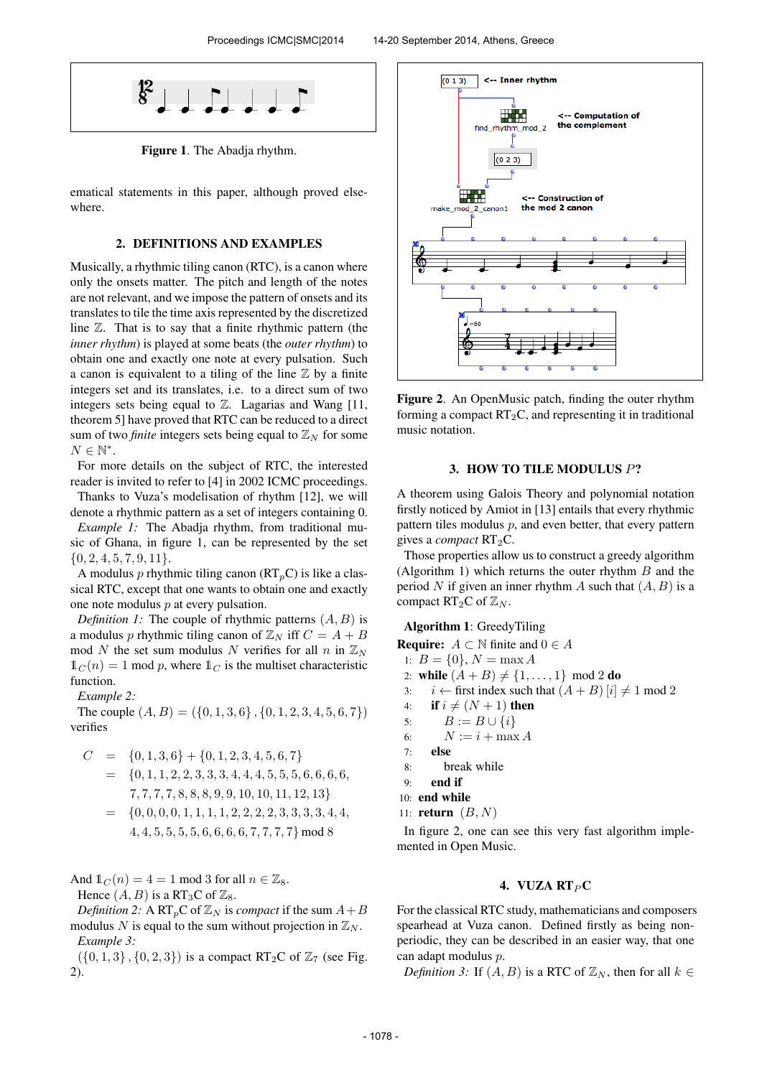

Figure 1. The Abadja rhythm.

ematical statements in this paper, although proved elsewhere.

## 2. DEFINITIONS AND EXAMPLES

Musically, a rhythmic tiling canon (RTC), is a canon where only the onsets matter. The pitch and length of the notes are not relevant, and we impose the pattern of onsets and its translates to tile the time axis represented by the discretized line  $\mathbb{Z}$ . That is to say that a finite rhythmic pattern (the *inner rhythm*) is played at some beats (the *outer rhythm*) to obtain one and exactly one note at every pulsation. Such a canon is equivalent to a tiling of the line  $\mathbb Z$  by a finite integers set and its translates, i.e. to a direct sum of two integers sets being equal to  $\mathbb{Z}$ . Lagarias and Wang [11, theorem 5] have proved that RTC can be reduced to a direct sum of two *finite* integers sets being equal to  $\mathbb{Z}_N$  for some  $N \in \mathbb{N}^*$ .

For more details on the subject of RTC, the interested reader is invited to refer to [4] in 2002 ICMC proceedings.

Thanks to Vuza's modelisation of rhythm [12], we will denote a rhythmic pattern as a set of integers containing 0. *Example 1:* The Abadja rhythm, from traditional mu-

sic of Ghana, in figure 1, can be represented by the set  $\{0, 2, 4, 5, 7, 9, 11\}.$ 

A modulus p rhythmic tiling canon  $(RT_pC)$  is like a classical RTC, except that one wants to obtain one and exactly one note modulus p at every pulsation.

*Definition 1:* The couple of rhythmic patterns  $(A, B)$  is a modulus p rhythmic tiling canon of  $\mathbb{Z}_N$  iff  $C = A + B$ mod N the set sum modulus N verifies for all n in  $\mathbb{Z}_N$  $\mathbb{1}_C(n) = 1$  mod p, where  $\mathbb{1}_C$  is the multiset characteristic function.

*Example 2:*

The couple  $(A, B) = (\{0, 1, 3, 6\}, \{0, 1, 2, 3, 4, 5, 6, 7\})$ verifies

$$
C = \{0, 1, 3, 6\} + \{0, 1, 2, 3, 4, 5, 6, 7\}
$$
  
= 
$$
\{0, 1, 1, 2, 2, 3, 3, 3, 4, 4, 4, 5, 5, 5, 6, 6, 6, 6, 7, 7, 7, 7, 8, 8, 8, 9, 9, 10, 10, 11, 12, 13\}
$$
  
= 
$$
\{0, 0, 0, 0, 1, 1, 1, 1, 2, 2, 2, 2, 3, 3, 3, 3, 4, 4, 4, 5, 5, 5, 5, 6, 6, 6, 6, 7, 7, 7, 7\}
$$
 mod 8

And  $\mathbb{1}_C (n) = 4 = 1$  mod 3 for all  $n \in \mathbb{Z}_8$ .

Hence  $(A, B)$  is a RT<sub>3</sub>C of  $\mathbb{Z}_8$ .

*Definition 2:* A RT<sub>p</sub>C of  $\mathbb{Z}_N$  is *compact* if the sum  $A + B$ modulus N is equal to the sum without projection in  $\mathbb{Z}_N$ . *Example 3:*

 $({0, 1, 3}, {0, 2, 3})$  is a compact RT<sub>2</sub>C of  $\mathbb{Z}_7$  (see Fig. 2).



Figure 2. An OpenMusic patch, finding the outer rhythm forming a compact  $RT_2C$ , and representing it in traditional music notation.

# 3. HOW TO TILE MODULUS P?

A theorem using Galois Theory and polynomial notation firstly noticed by Amiot in [13] entails that every rhythmic pattern tiles modulus  $p$ , and even better, that every pattern gives a *compact* RT<sub>2</sub>C.

Those properties allow us to construct a greedy algorithm (Algorithm 1) which returns the outer rhythm  $B$  and the period N if given an inner rhythm A such that  $(A, B)$  is a compact  $RT_2C$  of  $\mathbb{Z}_N$ .

Algorithm 1: GreedyTiling

**Require:**  $A \subset \mathbb{N}$  finite and  $0 \in A$ 

1:  $B = \{0\}, N = \max A$ 

- 2: while  $(A + B) \neq \{1, ..., 1\} \mod 2$  do
- 3: *i* ← first index such that  $(A + B)$  [*i*]  $\neq$  1 mod 2
- 4: if  $i \neq (N + 1)$  then
- 5:  $B := B \cup \{i\}$
- 6:  $N := i + \max A$
- 7: else
- 8: break while
- 9: end if

```
10: end while
```

```
11: return (B, N)
```
In figure 2, one can see this very fast algorithm implemented in Open Music.

#### 4. VUZA  $R T<sub>P</sub> C$

For the classical RTC study, mathematicians and composers spearhead at Vuza canon. Defined firstly as being nonperiodic, they can be described in an easier way, that one can adapt modulus p.

*Definition 3:* If  $(A, B)$  is a RTC of  $\mathbb{Z}_N$ , then for all  $k \in$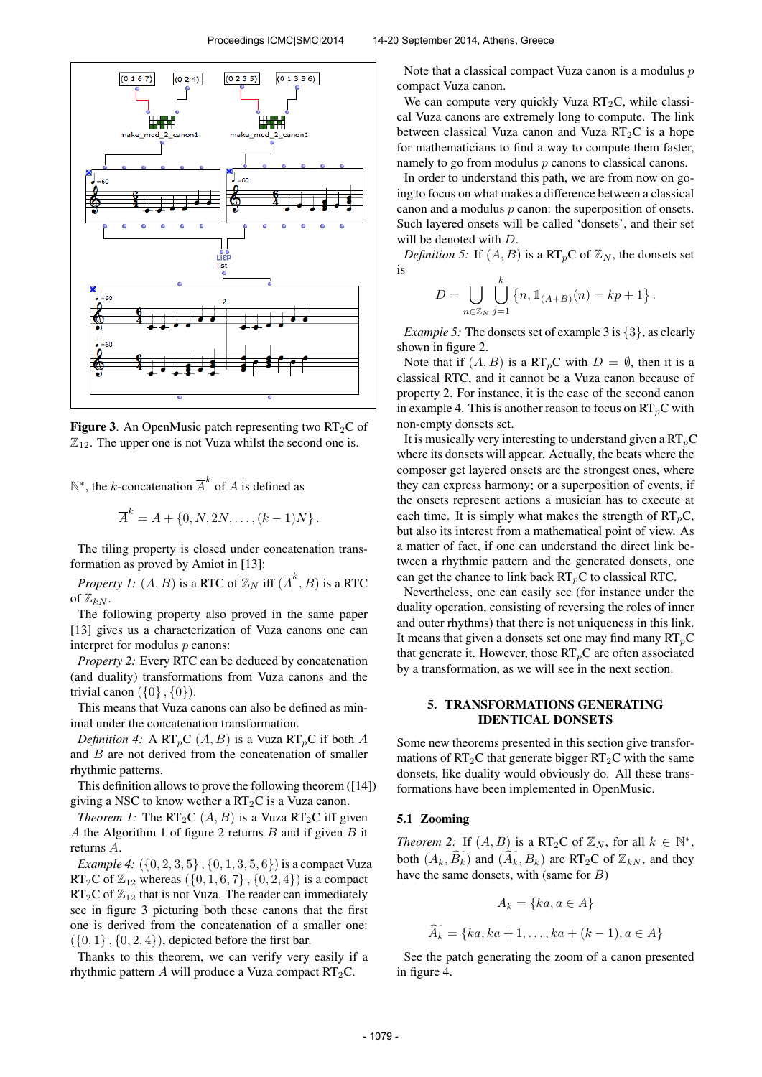

**Figure 3.** An OpenMusic patch representing two  $RT_2C$  of  $\mathbb{Z}_{12}$ . The upper one is not Vuza whilst the second one is.

 $\mathbb{N}^*$ , the *k*-concatenation  $\overline{A}^k$  of *A* is defined as

$$
\overline{A}^k = A + \{0, N, 2N, \dots, (k-1)N\}.
$$

The tiling property is closed under concatenation transformation as proved by Amiot in [13]:

*Property 1:*  $(A, B)$  is a RTC of  $\mathbb{Z}_N$  iff  $(\overline{A}^k, B)$  is a RTC of  $\mathbb{Z}_{k,N}$ .

The following property also proved in the same paper [13] gives us a characterization of Vuza canons one can interpret for modulus  $p$  canons:

*Property 2:* Every RTC can be deduced by concatenation (and duality) transformations from Vuza canons and the trivial canon  $({0}, {0})$ .

This means that Vuza canons can also be defined as minimal under the concatenation transformation.

*Definition 4:* A  $RT_pC(A, B)$  is a Vuza  $RT_pC$  if both A and B are not derived from the concatenation of smaller rhythmic patterns.

This definition allows to prove the following theorem ([14]) giving a NSC to know wether a  $RT_2C$  is a Vuza canon.

*Theorem 1:* The  $RT_2C(A, B)$  is a Vuza  $RT_2C$  iff given A the Algorithm 1 of figure 2 returns  $B$  and if given  $B$  it returns A.

*Example 4:*  $({0, 2, 3, 5}, {0, 1, 3, 5, 6})$  is a compact Vuza RT<sub>2</sub>C of  $\mathbb{Z}_{12}$  whereas  $({0, 1, 6, 7}, {0, 2, 4})$  is a compact  $RT_2C$  of  $\mathbb{Z}_{12}$  that is not Vuza. The reader can immediately see in figure 3 picturing both these canons that the first one is derived from the concatenation of a smaller one:  $({0, 1}, {0, 2, 4})$ , depicted before the first bar.

Thanks to this theorem, we can verify very easily if a rhythmic pattern A will produce a Vuza compact  $RT_2C$ .

Note that a classical compact Vuza canon is a modulus  $p$ compact Vuza canon.

We can compute very quickly Vuza  $RT_2C$ , while classical Vuza canons are extremely long to compute. The link between classical Vuza canon and Vuza  $RT_2C$  is a hope for mathematicians to find a way to compute them faster, namely to go from modulus  $p$  canons to classical canons.

In order to understand this path, we are from now on going to focus on what makes a difference between a classical canon and a modulus  $p$  canon: the superposition of onsets. Such layered onsets will be called 'donsets', and their set will be denoted with D.

*Definition 5:* If  $(A, B)$  is a RT<sub>p</sub>C of  $\mathbb{Z}_N$ , the donsets set is  $\mathbf{r}$ 

$$
D = \bigcup_{n \in \mathbb{Z}_N} \bigcup_{j=1}^k \{n, 1\!\!1_{(A+B)}(n) = kp + 1\}.
$$

*Example 5:* The donsets set of example 3 is  $\{3\}$ , as clearly shown in figure 2.

Note that if  $(A, B)$  is a RT<sub>p</sub>C with  $D = \emptyset$ , then it is a classical RTC, and it cannot be a Vuza canon because of property 2. For instance, it is the case of the second canon in example 4. This is another reason to focus on  $RT_pC$  with non-empty donsets set.

It is musically very interesting to understand given a  $RT_pC$ where its donsets will appear. Actually, the beats where the composer get layered onsets are the strongest ones, where they can express harmony; or a superposition of events, if the onsets represent actions a musician has to execute at each time. It is simply what makes the strength of  $RT_pC$ , but also its interest from a mathematical point of view. As a matter of fact, if one can understand the direct link between a rhythmic pattern and the generated donsets, one can get the chance to link back  $RT_pC$  to classical RTC.

Nevertheless, one can easily see (for instance under the duality operation, consisting of reversing the roles of inner and outer rhythms) that there is not uniqueness in this link. It means that given a donsets set one may find many  $RT_pC$ that generate it. However, those  $RT_pC$  are often associated by a transformation, as we will see in the next section.

## 5. TRANSFORMATIONS GENERATING IDENTICAL DONSETS

Some new theorems presented in this section give transformations of  $RT_2C$  that generate bigger  $RT_2C$  with the same donsets, like duality would obviously do. All these transformations have been implemented in OpenMusic.

## 5.1 Zooming

*Theorem 2:* If  $(A, B)$  is a RT<sub>2</sub>C of  $\mathbb{Z}_N$ , for all  $k \in \mathbb{N}^*$ , both  $(A_k, \widetilde{B_k})$  and  $(\widetilde{A_k}, B_k)$  are RT<sub>2</sub>C of  $\mathbb{Z}_{kN}$ , and they have the same donsets, with (same for  $B$ )

$$
A_k = \{ka, a \in A\}
$$

$$
A_k = \{ka, ka + 1, \dots, ka + (k - 1), a \in A\}
$$

See the patch generating the zoom of a canon presented in figure 4.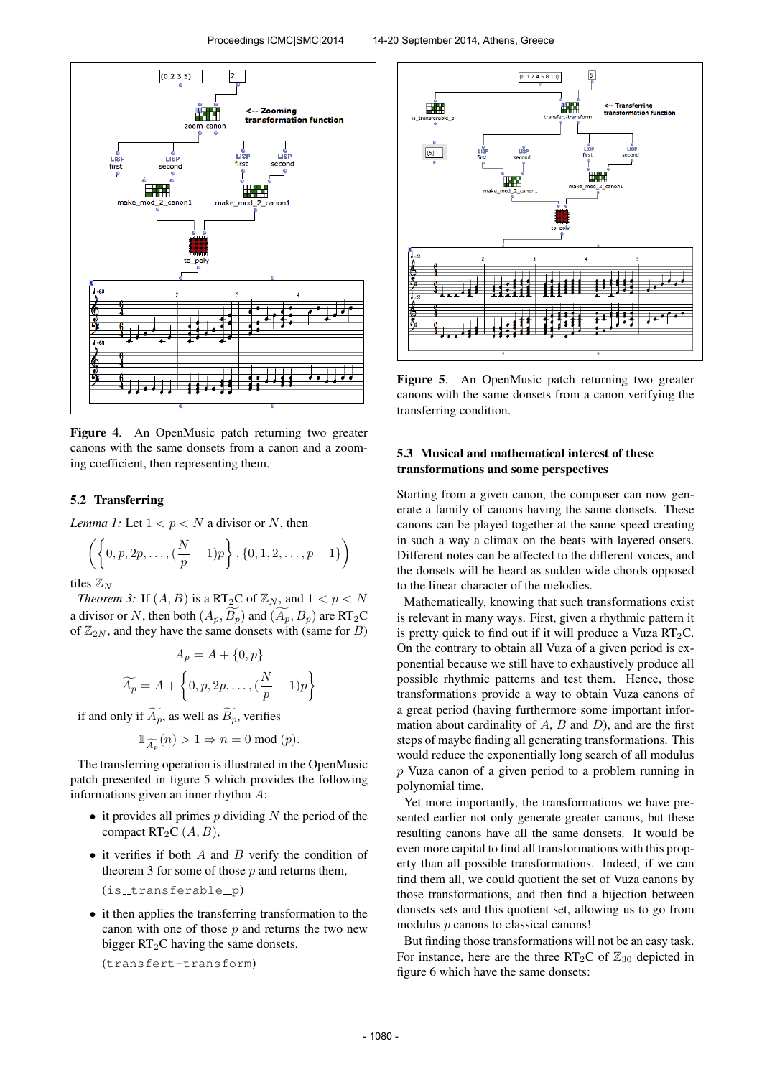

Figure 4. An OpenMusic patch returning two greater canons with the same donsets from a canon and a zooming coefficient, then representing them.

## 5.2 Transferring

*Lemma 1:* Let  $1 < p < N$  a divisor or N, then

$$
\left( \left\{ 0, p, 2p, \ldots, \left( \frac{N}{p} - 1 \right) p \right\}, \{0, 1, 2, \ldots, p - 1 \} \right)
$$

tiles  $\mathbb{Z}_N$ 

*Theorem 3:* If  $(A, B)$  is a RT<sub>2</sub>C of  $\mathbb{Z}_N$ , and  $1 < p < N$ a divisor or N, then both  $(A_p, \overline{B_p})$  and  $(\widetilde{A_p}, B_p)$  are RT<sub>2</sub>C of  $\mathbb{Z}_{2N}$ , and they have the same donsets with (same for B)

$$
A_p = A + \{0, p\}
$$

$$
\widetilde{A_p} = A + \left\{0, p, 2p, \dots, \left(\frac{N}{p} - 1\right)p\right\}
$$

if and only if  $\widetilde{A_p}$ , as well as  $\widetilde{B_p}$ , verifies

$$
\mathbb{1}_{\widetilde{A_p}}(n) > 1 \Rightarrow n = 0 \bmod (p).
$$

The transferring operation is illustrated in the OpenMusic patch presented in figure 5 which provides the following informations given an inner rhythm A:

- it provides all primes  $p$  dividing  $N$  the period of the compact  $RT_2C(A, B)$ ,
- it verifies if both  $A$  and  $B$  verify the condition of theorem 3 for some of those  $p$  and returns them,

$$
(is\_transferable\_p)
$$

• it then applies the transferring transformation to the canon with one of those  $p$  and returns the two new bigger  $RT_2C$  having the same donsets.

(transfert-transform)



Figure 5. An OpenMusic patch returning two greater canons with the same donsets from a canon verifying the transferring condition.

# 5.3 Musical and mathematical interest of these transformations and some perspectives

Starting from a given canon, the composer can now generate a family of canons having the same donsets. These canons can be played together at the same speed creating in such a way a climax on the beats with layered onsets. Different notes can be affected to the different voices, and the donsets will be heard as sudden wide chords opposed to the linear character of the melodies.

Mathematically, knowing that such transformations exist is relevant in many ways. First, given a rhythmic pattern it is pretty quick to find out if it will produce a Vuza  $RT_2C$ . On the contrary to obtain all Vuza of a given period is exponential because we still have to exhaustively produce all possible rhythmic patterns and test them. Hence, those transformations provide a way to obtain Vuza canons of a great period (having furthermore some important information about cardinality of  $A$ ,  $B$  and  $D$ ), and are the first steps of maybe finding all generating transformations. This would reduce the exponentially long search of all modulus p Vuza canon of a given period to a problem running in polynomial time.

Yet more importantly, the transformations we have presented earlier not only generate greater canons, but these resulting canons have all the same donsets. It would be even more capital to find all transformations with this property than all possible transformations. Indeed, if we can find them all, we could quotient the set of Vuza canons by those transformations, and then find a bijection between donsets sets and this quotient set, allowing us to go from modulus  $p$  canons to classical canons!

But finding those transformations will not be an easy task. For instance, here are the three  $RT_2C$  of  $\mathbb{Z}_{30}$  depicted in figure 6 which have the same donsets: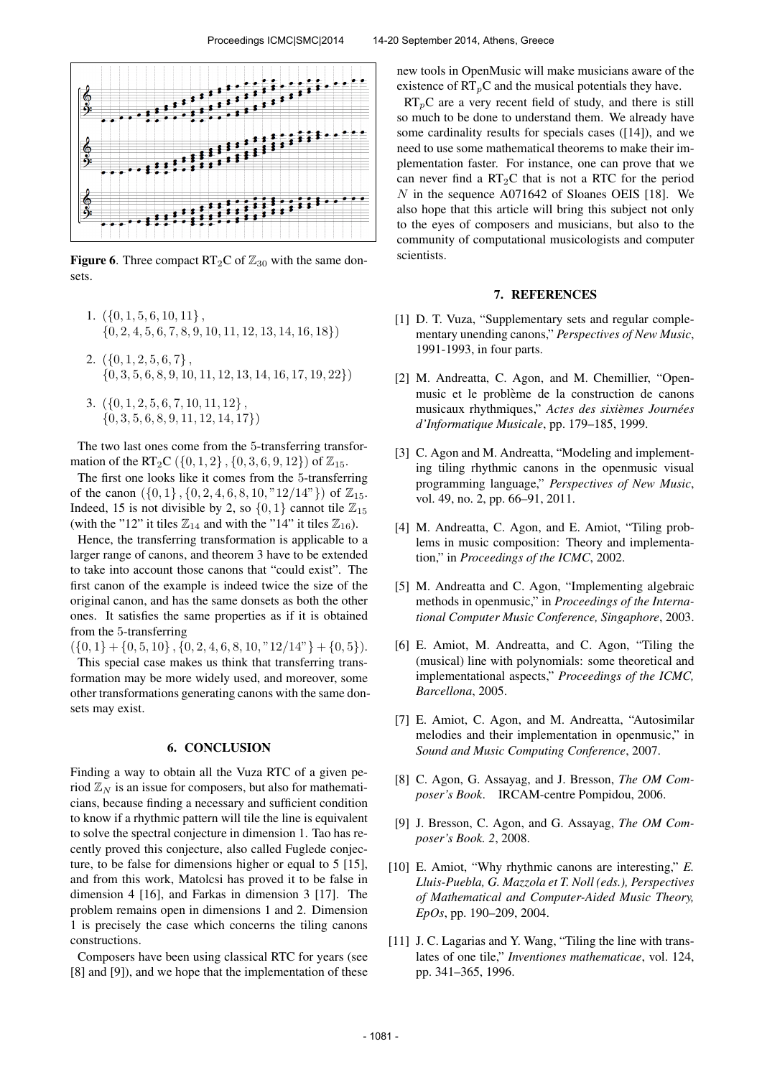

**Figure 6.** Three compact  $RT_2C$  of  $\mathbb{Z}_{30}$  with the same donsets.

- 1.  $({0, 1, 5, 6, 10, 11},$  $\{0, 2, 4, 5, 6, 7, 8, 9, 10, 11, 12, 13, 14, 16, 18\}$
- 2.  $({0, 1, 2, 5, 6, 7})$ .  $\{0, 3, 5, 6, 8, 9, 10, 11, 12, 13, 14, 16, 17, 19, 22\}$
- 3.  $({0, 1, 2, 5, 6, 7, 10, 11, 12},$  $\{0, 3, 5, 6, 8, 9, 11, 12, 14, 17\}$

The two last ones come from the 5-transferring transformation of the RT<sub>2</sub>C ({0, 1, 2}, {0, 3, 6, 9, 12}) of  $\mathbb{Z}_{15}$ .

The first one looks like it comes from the 5-transferring of the canon  $({0, 1}, {0, 2, 4, 6, 8, 10, "12/14"})$  of  $\mathbb{Z}_{15}$ . Indeed, 15 is not divisible by 2, so  $\{0, 1\}$  cannot tile  $\mathbb{Z}_{15}$ (with the "12" it tiles  $\mathbb{Z}_{14}$  and with the "14" it tiles  $\mathbb{Z}_{16}$ ).

Hence, the transferring transformation is applicable to a larger range of canons, and theorem 3 have to be extended to take into account those canons that "could exist". The first canon of the example is indeed twice the size of the original canon, and has the same donsets as both the other ones. It satisfies the same properties as if it is obtained from the 5-transferring

 $({0, 1} + {0, 5, 10}, {0, 2, 4, 6, 8, 10, "12/14" } + {0, 5}).$ This special case makes us think that transferring transformation may be more widely used, and moreover, some other transformations generating canons with the same donsets may exist.

## 6. CONCLUSION

Finding a way to obtain all the Vuza RTC of a given period  $\mathbb{Z}_N$  is an issue for composers, but also for mathematicians, because finding a necessary and sufficient condition to know if a rhythmic pattern will tile the line is equivalent to solve the spectral conjecture in dimension 1. Tao has recently proved this conjecture, also called Fuglede conjecture, to be false for dimensions higher or equal to 5 [15], and from this work, Matolcsi has proved it to be false in dimension 4 [16], and Farkas in dimension 3 [17]. The problem remains open in dimensions 1 and 2. Dimension 1 is precisely the case which concerns the tiling canons constructions.

Composers have been using classical RTC for years (see [8] and [9]), and we hope that the implementation of these

new tools in OpenMusic will make musicians aware of the existence of  $RT_pC$  and the musical potentials they have.

 $RT_pC$  are a very recent field of study, and there is still so much to be done to understand them. We already have some cardinality results for specials cases ([14]), and we need to use some mathematical theorems to make their implementation faster. For instance, one can prove that we can never find a  $RT_2C$  that is not a RTC for the period N in the sequence A071642 of Sloanes OEIS [18]. We also hope that this article will bring this subject not only to the eyes of composers and musicians, but also to the community of computational musicologists and computer scientists.

#### 7. REFERENCES

- [1] D. T. Vuza, "Supplementary sets and regular complementary unending canons," *Perspectives of New Music*, 1991-1993, in four parts.
- [2] M. Andreatta, C. Agon, and M. Chemillier, "Openmusic et le problème de la construction de canons musicaux rhythmiques," Actes des sixièmes Journées *d'Informatique Musicale*, pp. 179–185, 1999.
- [3] C. Agon and M. Andreatta, "Modeling and implementing tiling rhythmic canons in the openmusic visual programming language," *Perspectives of New Music*, vol. 49, no. 2, pp. 66–91, 2011.
- [4] M. Andreatta, C. Agon, and E. Amiot, "Tiling problems in music composition: Theory and implementation," in *Proceedings of the ICMC*, 2002.
- [5] M. Andreatta and C. Agon, "Implementing algebraic methods in openmusic," in *Proceedings of the International Computer Music Conference, Singaphore*, 2003.
- [6] E. Amiot, M. Andreatta, and C. Agon, "Tiling the (musical) line with polynomials: some theoretical and implementational aspects," *Proceedings of the ICMC, Barcellona*, 2005.
- [7] E. Amiot, C. Agon, and M. Andreatta, "Autosimilar melodies and their implementation in openmusic," in *Sound and Music Computing Conference*, 2007.
- [8] C. Agon, G. Assayag, and J. Bresson, *The OM Composer's Book*. IRCAM-centre Pompidou, 2006.
- [9] J. Bresson, C. Agon, and G. Assayag, *The OM Composer's Book. 2*, 2008.
- [10] E. Amiot, "Why rhythmic canons are interesting," *E. Lluis-Puebla, G. Mazzola et T. Noll (eds.), Perspectives of Mathematical and Computer-Aided Music Theory, EpOs*, pp. 190–209, 2004.
- [11] J. C. Lagarias and Y. Wang, "Tiling the line with translates of one tile," *Inventiones mathematicae*, vol. 124, pp. 341–365, 1996.